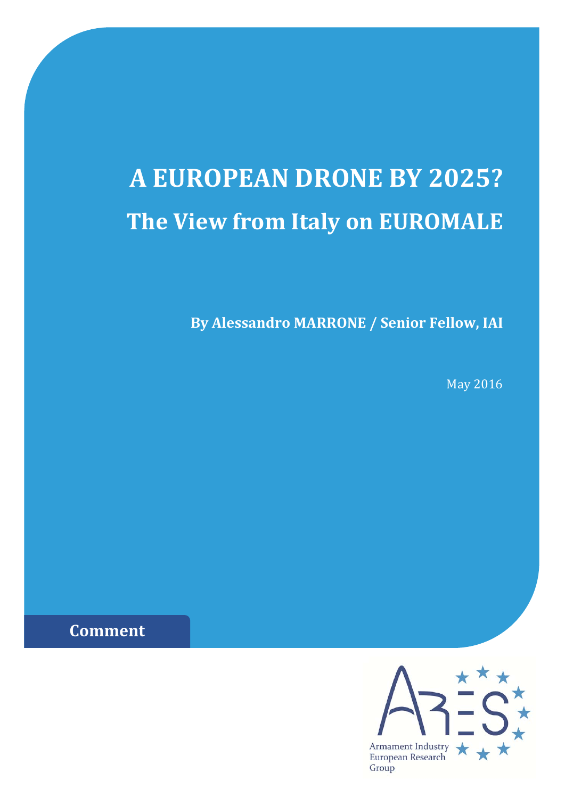# **A EUROPEAN DRONE BY 2025? The View from Italy on EUROMALE**

**By Alessandro MARRONE / Senior Fellow, IAI**

May 2016

**Comment**

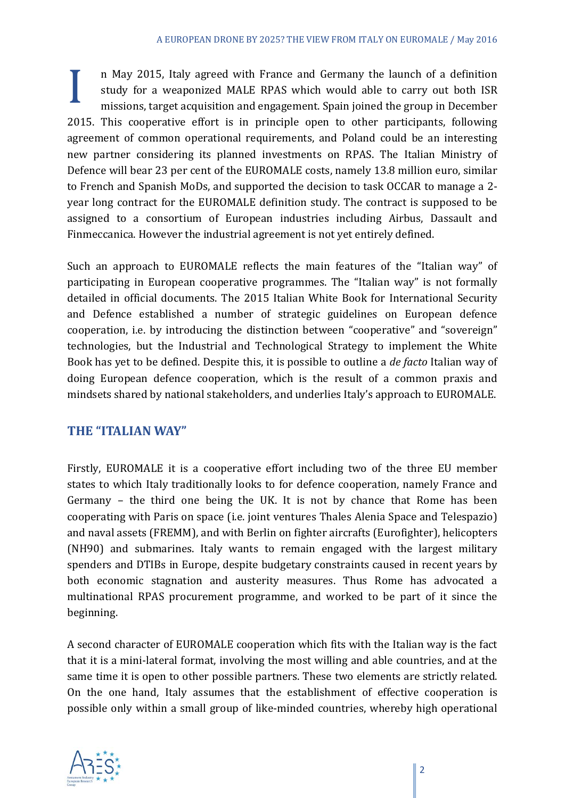I n May 2015, Italy agreed with France and Germany the launch of a definition study for a weaponized MALE RPAS which would able to carry out both ISR missions, target acquisition and engagement. Spain joined the group in D study for a weaponized MALE RPAS which would able to carry out both ISR missions, target acquisition and engagement. Spain joined the group in December 2015. This cooperative effort is in principle open to other participants, following agreement of common operational requirements, and Poland could be an interesting new partner considering its planned investments on RPAS. The Italian Ministry of Defence will bear 23 per cent of the EUROMALE costs, namely 13.8 million euro, similar to French and Spanish MoDs, and supported the decision to task OCCAR to manage a 2year long contract for the EUROMALE definition study. The contract is supposed to be assigned to a consortium of European industries including Airbus, Dassault and Finmeccanica. However the industrial agreement is not yet entirely defined.

Such an approach to EUROMALE reflects the main features of the "Italian way" of participating in European cooperative programmes. The "Italian way" is not formally detailed in official documents. The 2015 Italian White Book for International Security and Defence established a number of strategic guidelines on European defence cooperation, i.e. by introducing the distinction between "cooperative" and "sovereign" technologies, but the Industrial and Technological Strategy to implement the White Book has yet to be defined. Despite this, it is possible to outline a *de facto* Italian way of doing European defence cooperation, which is the result of a common praxis and mindsets shared by national stakeholders, and underlies Italy's approach to EUROMALE.

### **THE "ITALIAN WAY"**

Firstly, EUROMALE it is a cooperative effort including two of the three EU member states to which Italy traditionally looks to for defence cooperation, namely France and Germany  $-$  the third one being the UK. It is not by chance that Rome has been cooperating with Paris on space (i.e. joint ventures Thales Alenia Space and Telespazio) and naval assets (FREMM), and with Berlin on fighter aircrafts (Eurofighter), helicopters (NH90) and submarines. Italy wants to remain engaged with the largest military spenders and DTIBs in Europe, despite budgetary constraints caused in recent years by both economic stagnation and austerity measures. Thus Rome has advocated a multinational RPAS procurement programme, and worked to be part of it since the beginning. 

A second character of EUROMALE cooperation which fits with the Italian way is the fact that it is a mini-lateral format, involving the most willing and able countries, and at the same time it is open to other possible partners. These two elements are strictly related. On the one hand, Italy assumes that the establishment of effective cooperation is possible only within a small group of like-minded countries, whereby high operational

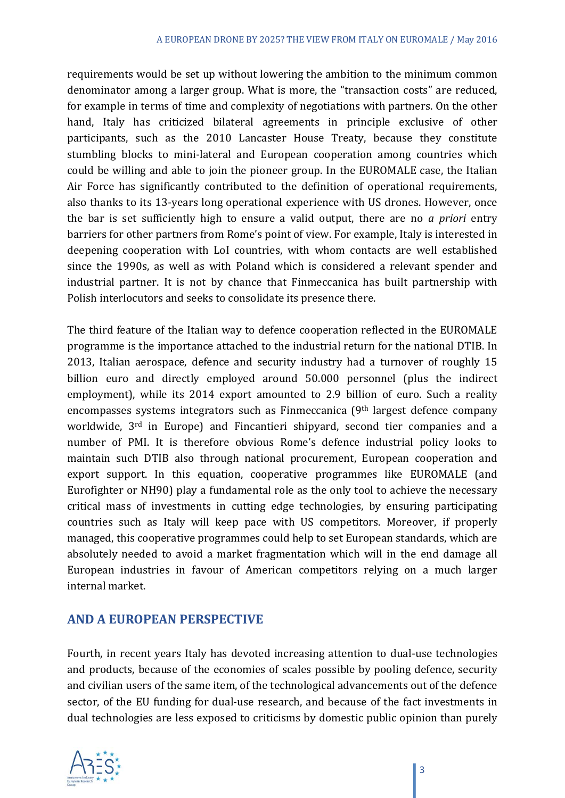requirements would be set up without lowering the ambition to the minimum common denominator among a larger group. What is more, the "transaction costs" are reduced, for example in terms of time and complexity of negotiations with partners. On the other hand, Italy has criticized bilateral agreements in principle exclusive of other participants, such as the 2010 Lancaster House Treaty, because they constitute stumbling blocks to mini-lateral and European cooperation among countries which could be willing and able to join the pioneer group. In the EUROMALE case, the Italian Air Force has significantly contributed to the definition of operational requirements, also thanks to its 13-years long operational experience with US drones. However, once the bar is set sufficiently high to ensure a valid output, there are no *a priori* entry barriers for other partners from Rome's point of view. For example, Italy is interested in deepening cooperation with LoI countries, with whom contacts are well established since the 1990s, as well as with Poland which is considered a relevant spender and industrial partner. It is not by chance that Finmeccanica has built partnership with Polish interlocutors and seeks to consolidate its presence there.

The third feature of the Italian way to defence cooperation reflected in the EUROMALE programme is the importance attached to the industrial return for the national DTIB. In 2013, Italian aerospace, defence and security industry had a turnover of roughly 15 billion euro and directly employed around 50.000 personnel (plus the indirect employment), while its 2014 export amounted to 2.9 billion of euro. Such a reality encompasses systems integrators such as  $F$ inmeccanica  $(9<sup>th</sup>$  largest defence company worldwide, 3<sup>rd</sup> in Europe) and Fincantieri shipyard, second tier companies and a number of PMI. It is therefore obvious Rome's defence industrial policy looks to maintain such DTIB also through national procurement, European cooperation and export support. In this equation, cooperative programmes like EUROMALE (and Eurofighter or NH90) play a fundamental role as the only tool to achieve the necessary critical mass of investments in cutting edge technologies, by ensuring participating countries such as Italy will keep pace with US competitors. Moreover, if properly managed, this cooperative programmes could help to set European standards, which are absolutely needed to avoid a market fragmentation which will in the end damage all European industries in favour of American competitors relying on a much larger internal market.

### **AND A EUROPEAN PERSPECTIVE**

Fourth, in recent years Italy has devoted increasing attention to dual-use technologies and products, because of the economies of scales possible by pooling defence, security and civilian users of the same item, of the technological advancements out of the defence sector, of the EU funding for dual-use research, and because of the fact investments in dual technologies are less exposed to criticisms by domestic public opinion than purely

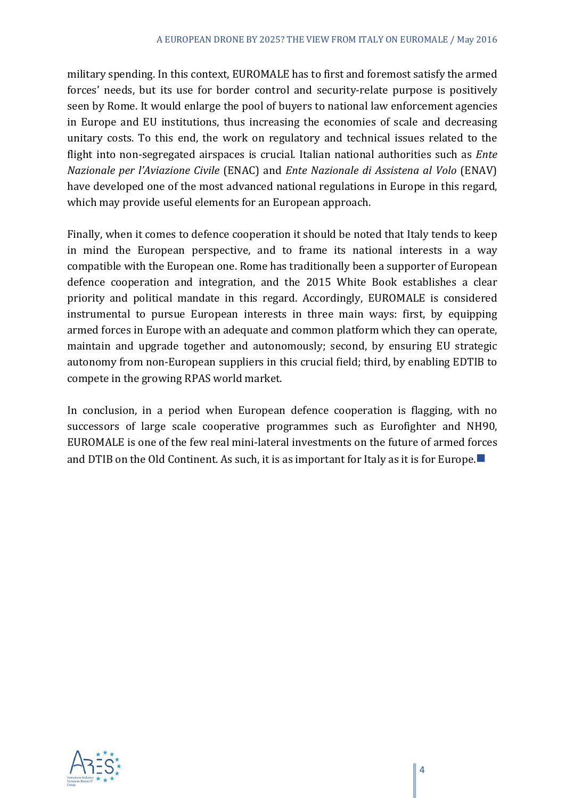military spending. In this context, EUROMALE has to first and foremost satisfy the armed forces' needs, but its use for border control and security-relate purpose is positively seen by Rome. It would enlarge the pool of buyers to national law enforcement agencies in Europe and EU institutions, thus increasing the economies of scale and decreasing unitary costs. To this end, the work on regulatory and technical issues related to the flight into non-segregated airspaces is crucial. Italian national authorities such as *Ente Nazionale per l'Aviazione Civile* (ENAC) and *Ente Nazionale di Assistena al Volo* (ENAV) have developed one of the most advanced national regulations in Europe in this regard, which may provide useful elements for an European approach.

Finally, when it comes to defence cooperation it should be noted that Italy tends to keep in mind the European perspective, and to frame its national interests in a way compatible with the European one. Rome has traditionally been a supporter of European defence cooperation and integration, and the 2015 White Book establishes a clear priority and political mandate in this regard. Accordingly, EUROMALE is considered instrumental to pursue European interests in three main ways: first, by equipping armed forces in Europe with an adequate and common platform which they can operate, maintain and upgrade together and autonomously; second, by ensuring EU strategic autonomy from non-European suppliers in this crucial field; third, by enabling EDTIB to compete in the growing RPAS world market.

In conclusion, in a period when European defence cooperation is flagging, with no successors of large scale cooperative programmes such as Eurofighter and NH90, EUROMALE is one of the few real mini-lateral investments on the future of armed forces and DTIB on the Old Continent. As such, it is as important for Italy as it is for Europe.